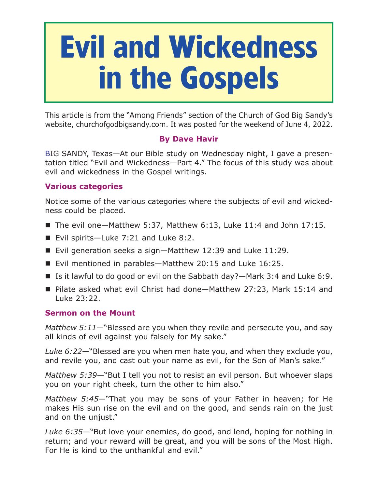# **Evil and Wickedness in the Gospels**

This article is from the "Among Friends" section of the Church of God Big Sandy's website, churchofgodbigsandy.com. It was posted for the weekend of June 4, 2022.

## **By Dave Havir**

BIG SANDY, Texas—At our Bible study on Wednesday night, I gave a presentation titled "Evil and Wickedness—Part 4." The focus of this study was about evil and wickedness in the Gospel writings.

## **Various categories**

Notice some of the various categories where the subjects of evil and wickedness could be placed.

- The evil one—Matthew 5:37, Matthew 6:13, Luke 11:4 and John 17:15.
- Evil spirits—Luke 7:21 and Luke 8:2.
- Evil generation seeks a sign-Matthew 12:39 and Luke 11:29.
- Evil mentioned in parables–Matthew 20:15 and Luke 16:25.
- Is it lawful to do good or evil on the Sabbath day?—Mark 3:4 and Luke 6:9.
- Pilate asked what evil Christ had done—Matthew 27:23, Mark 15:14 and Luke 23:22.

### **Sermon on the Mount**

*Matthew 5:11*—"Blessed are you when they revile and persecute you, and say all kinds of evil against you falsely for My sake."

*Luke 6:22*—"Blessed are you when men hate you, and when they exclude you, and revile you, and cast out your name as evil, for the Son of Man's sake."

*Matthew 5:39*—"But I tell you not to resist an evil person. But whoever slaps you on your right cheek, turn the other to him also."

*Matthew 5:45*—"That you may be sons of your Father in heaven; for He makes His sun rise on the evil and on the good, and sends rain on the just and on the unjust."

*Luke 6:35*—"But love your enemies, do good, and lend, hoping for nothing in return; and your reward will be great, and you will be sons of the Most High. For He is kind to the unthankful and evil."